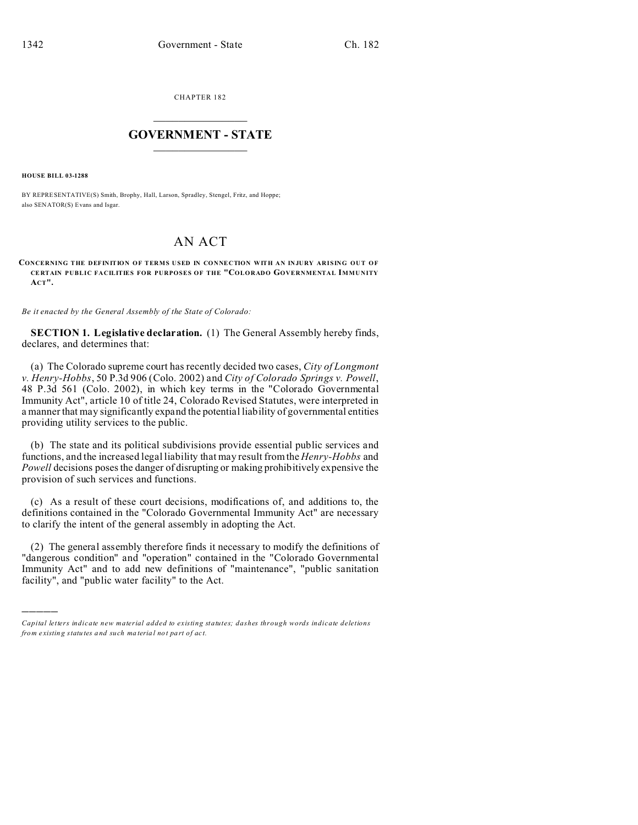CHAPTER 182  $\overline{\phantom{a}}$  , where  $\overline{\phantom{a}}$ 

## **GOVERNMENT - STATE**  $\_$   $\_$

**HOUSE BILL 03-1288**

)))))

BY REPRESENTATIVE(S) Smith, Brophy, Hall, Larson, Spradley, Stengel, Fritz, and Hoppe; also SENATOR(S) Evans and Isgar.

## AN ACT

**CONCERNING THE DEFINITION OF TERMS USED IN CONNECTION WITH AN INJURY ARISING OUT OF CE RTAIN PUBLIC FACILITIES FOR PURPOSES OF THE "COLORADO GOVERNMENTAL IMMUNITY ACT".**

*Be it enacted by the General Assembly of the State of Colorado:*

**SECTION 1. Legislative declaration.** (1) The General Assembly hereby finds, declares, and determines that:

(a) The Colorado supreme court has recently decided two cases, *City of Longmont v. Henry-Hobbs*, 50 P.3d 906 (Colo. 2002) and *City of Colorado Springs v. Powell*, 48 P.3d 561 (Colo. 2002), in which key terms in the "Colorado Governmental Immunity Act", article 10 of title 24, Colorado Revised Statutes, were interpreted in a manner that may significantly expand the potential liability of governmental entities providing utility services to the public.

(b) The state and its political subdivisions provide essential public services and functions, and the increased legal liability that may result from the *Henry-Hobbs* and *Powell* decisions poses the danger of disrupting or making prohibitively expensive the provision of such services and functions.

(c) As a result of these court decisions, modifications of, and additions to, the definitions contained in the "Colorado Governmental Immunity Act" are necessary to clarify the intent of the general assembly in adopting the Act.

(2) The general assembly therefore finds it necessary to modify the definitions of "dangerous condition" and "operation" contained in the "Colorado Governmental Immunity Act" and to add new definitions of "maintenance", "public sanitation facility", and "public water facility" to the Act.

*Capital letters indicate new material added to existing statutes; dashes through words indicate deletions from e xistin g statu tes a nd such ma teria l no t pa rt of ac t.*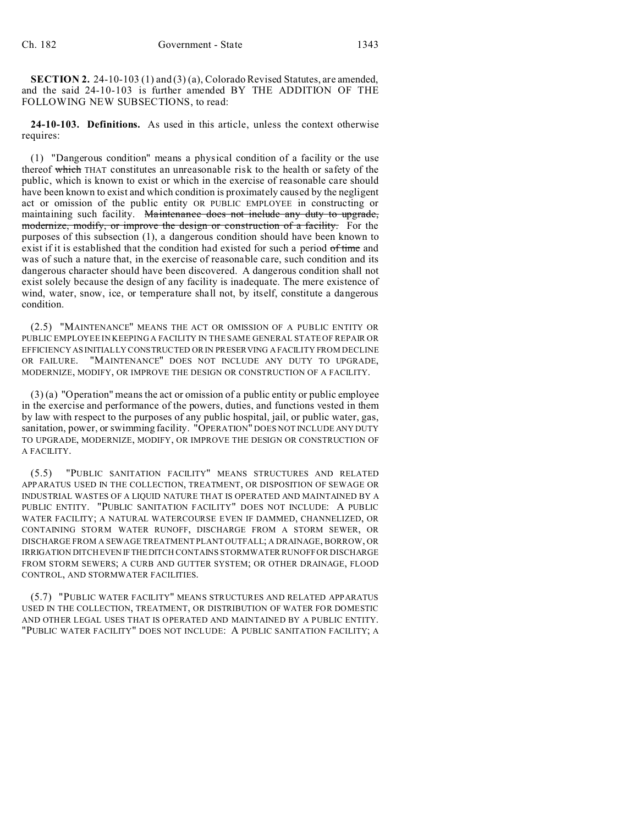**SECTION 2.** 24-10-103 (1) and (3) (a), Colorado Revised Statutes, are amended, and the said 24-10-103 is further amended BY THE ADDITION OF THE FOLLOWING NEW SUBSECTIONS, to read:

**24-10-103. Definitions.** As used in this article, unless the context otherwise requires:

(1) "Dangerous condition" means a physical condition of a facility or the use thereof which THAT constitutes an unreasonable risk to the health or safety of the public, which is known to exist or which in the exercise of reasonable care should have been known to exist and which condition is proximately caused by the negligent act or omission of the public entity OR PUBLIC EMPLOYEE in constructing or maintaining such facility. Maintenance does not include any duty to upgrade, modernize, modify, or improve the design or construction of a facility. For the purposes of this subsection (1), a dangerous condition should have been known to exist if it is established that the condition had existed for such a period of time and was of such a nature that, in the exercise of reasonable care, such condition and its dangerous character should have been discovered. A dangerous condition shall not exist solely because the design of any facility is inadequate. The mere existence of wind, water, snow, ice, or temperature shall not, by itself, constitute a dangerous condition.

(2.5) "MAINTENANCE" MEANS THE ACT OR OMISSION OF A PUBLIC ENTITY OR PUBLIC EMPLOYEE IN KEEPING A FACILITY IN THE SAME GENERAL STATE OF REPAIR OR EFFICIENCY AS INITIALLY CONSTRUCTED OR IN PRESERVING A FACILITY FROM DECLINE OR FAILURE. "MAINTENANCE" DOES NOT INCLUDE ANY DUTY TO UPGRADE, MODERNIZE, MODIFY, OR IMPROVE THE DESIGN OR CONSTRUCTION OF A FACILITY.

(3) (a) "Operation" means the act or omission of a public entity or public employee in the exercise and performance of the powers, duties, and functions vested in them by law with respect to the purposes of any public hospital, jail, or public water, gas, sanitation, power, or swimming facility. "OPERATION" DOES NOT INCLUDE ANY DUTY TO UPGRADE, MODERNIZE, MODIFY, OR IMPROVE THE DESIGN OR CONSTRUCTION OF A FACILITY.

(5.5) "PUBLIC SANITATION FACILITY" MEANS STRUCTURES AND RELATED APPARATUS USED IN THE COLLECTION, TREATMENT, OR DISPOSITION OF SEWAGE OR INDUSTRIAL WASTES OF A LIQUID NATURE THAT IS OPERATED AND MAINTAINED BY A PUBLIC ENTITY. "PUBLIC SANITATION FACILITY" DOES NOT INCLUDE: A PUBLIC WATER FACILITY; A NATURAL WATERCOURSE EVEN IF DAMMED, CHANNELIZED, OR CONTAINING STORM WATER RUNOFF, DISCHARGE FROM A STORM SEWER, OR DISCHARGE FROM A SEWAGE TREATMENT PLANT OUTFALL; A DRAINAGE, BORROW, OR IRRIGATION DITCH EVEN IFTHEDITCH CONTAINS STORMWATER RUNOFF OR DISCHARGE FROM STORM SEWERS; A CURB AND GUTTER SYSTEM; OR OTHER DRAINAGE, FLOOD CONTROL, AND STORMWATER FACILITIES.

(5.7) "PUBLIC WATER FACILITY" MEANS STRUCTURES AND RELATED APPARATUS USED IN THE COLLECTION, TREATMENT, OR DISTRIBUTION OF WATER FOR DOMESTIC AND OTHER LEGAL USES THAT IS OPERATED AND MAINTAINED BY A PUBLIC ENTITY. "PUBLIC WATER FACILITY" DOES NOT INCLUDE: A PUBLIC SANITATION FACILITY; A